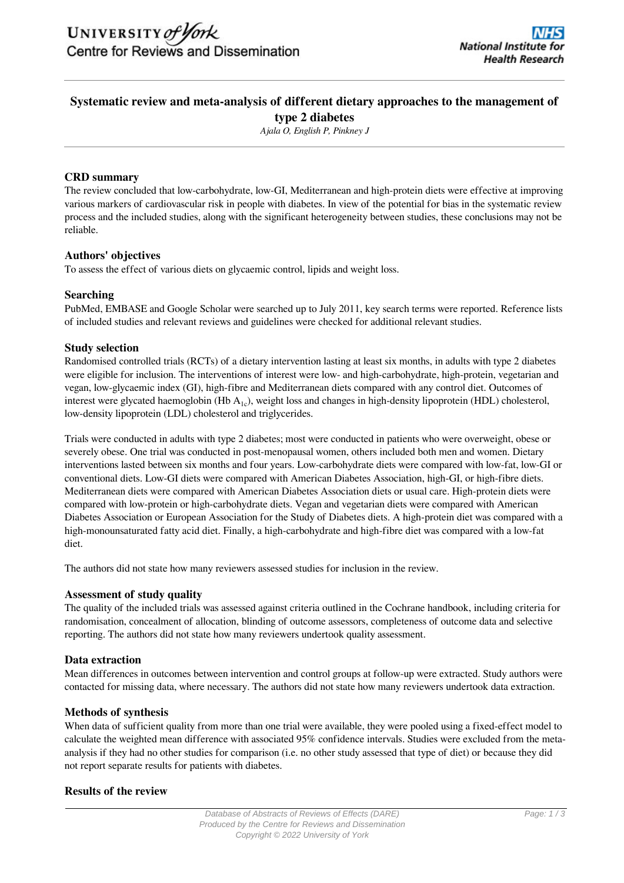# **Systematic review and meta-analysis of different dietary approaches to the management of type 2 diabetes**

*Ajala O, English P, Pinkney J*

# **CRD summary**

The review concluded that low-carbohydrate, low-GI, Mediterranean and high-protein diets were effective at improving various markers of cardiovascular risk in people with diabetes. In view of the potential for bias in the systematic review process and the included studies, along with the significant heterogeneity between studies, these conclusions may not be reliable.

# **Authors' objectives**

To assess the effect of various diets on glycaemic control, lipids and weight loss.

# **Searching**

PubMed, EMBASE and Google Scholar were searched up to July 2011, key search terms were reported. Reference lists of included studies and relevant reviews and guidelines were checked for additional relevant studies.

# **Study selection**

Randomised controlled trials (RCTs) of a dietary intervention lasting at least six months, in adults with type 2 diabetes were eligible for inclusion. The interventions of interest were low- and high-carbohydrate, high-protein, vegetarian and vegan, low-glycaemic index (GI), high-fibre and Mediterranean diets compared with any control diet. Outcomes of interest were glycated haemoglobin (Hb  $A_{1c}$ ), weight loss and changes in high-density lipoprotein (HDL) cholesterol, low-density lipoprotein (LDL) cholesterol and triglycerides.

Trials were conducted in adults with type 2 diabetes; most were conducted in patients who were overweight, obese or severely obese. One trial was conducted in post-menopausal women, others included both men and women. Dietary interventions lasted between six months and four years. Low-carbohydrate diets were compared with low-fat, low-GI or conventional diets. Low-GI diets were compared with American Diabetes Association, high-GI, or high-fibre diets. Mediterranean diets were compared with American Diabetes Association diets or usual care. High-protein diets were compared with low-protein or high-carbohydrate diets. Vegan and vegetarian diets were compared with American Diabetes Association or European Association for the Study of Diabetes diets. A high-protein diet was compared with a high-monounsaturated fatty acid diet. Finally, a high-carbohydrate and high-fibre diet was compared with a low-fat diet.

The authors did not state how many reviewers assessed studies for inclusion in the review.

# **Assessment of study quality**

The quality of the included trials was assessed against criteria outlined in the Cochrane handbook, including criteria for randomisation, concealment of allocation, blinding of outcome assessors, completeness of outcome data and selective reporting. The authors did not state how many reviewers undertook quality assessment.

# **Data extraction**

Mean differences in outcomes between intervention and control groups at follow-up were extracted. Study authors were contacted for missing data, where necessary. The authors did not state how many reviewers undertook data extraction.

# **Methods of synthesis**

When data of sufficient quality from more than one trial were available, they were pooled using a fixed-effect model to calculate the weighted mean difference with associated 95% confidence intervals. Studies were excluded from the metaanalysis if they had no other studies for comparison (i.e. no other study assessed that type of diet) or because they did not report separate results for patients with diabetes.

# **Results of the review**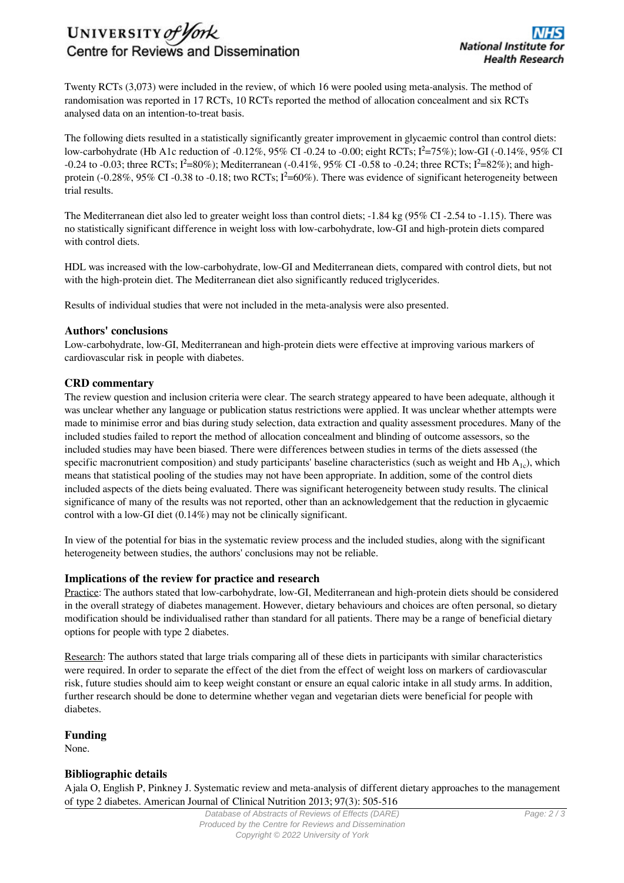# UNIVERSITY of York Centre for Reviews and Dissemination

Twenty RCTs (3,073) were included in the review, of which 16 were pooled using meta-analysis. The method of randomisation was reported in 17 RCTs, 10 RCTs reported the method of allocation concealment and six RCTs analysed data on an intention-to-treat basis.

The following diets resulted in a statistically significantly greater improvement in glycaemic control than control diets: low-carbohydrate (Hb A1c reduction of -0.12%, 95% CI -0.24 to -0.00; eight RCTs; Ι²=75%); low-GI (-0.14%, 95% CI  $-0.24$  to  $-0.03$ ; three RCTs;  $I^2=80\%$ ; Mediterranean  $(-0.41\%, 95\%$  CI  $-0.58$  to  $-0.24$ ; three RCTs;  $I^2=82\%$ ; and highprotein (-0.28%, 95% CI -0.38 to -0.18; two RCTs;  $I^2$ =60%). There was evidence of significant heterogeneity between trial results.

The Mediterranean diet also led to greater weight loss than control diets; -1.84 kg (95% CI -2.54 to -1.15). There was no statistically significant difference in weight loss with low-carbohydrate, low-GI and high-protein diets compared with control diets.

HDL was increased with the low-carbohydrate, low-GI and Mediterranean diets, compared with control diets, but not with the high-protein diet. The Mediterranean diet also significantly reduced triglycerides.

Results of individual studies that were not included in the meta-analysis were also presented.

#### **Authors' conclusions**

Low-carbohydrate, low-GI, Mediterranean and high-protein diets were effective at improving various markers of cardiovascular risk in people with diabetes.

# **CRD commentary**

The review question and inclusion criteria were clear. The search strategy appeared to have been adequate, although it was unclear whether any language or publication status restrictions were applied. It was unclear whether attempts were made to minimise error and bias during study selection, data extraction and quality assessment procedures. Many of the included studies failed to report the method of allocation concealment and blinding of outcome assessors, so the included studies may have been biased. There were differences between studies in terms of the diets assessed (the specific macronutrient composition) and study participants' baseline characteristics (such as weight and Hb  $A<sub>1c</sub>$ ), which means that statistical pooling of the studies may not have been appropriate. In addition, some of the control diets included aspects of the diets being evaluated. There was significant heterogeneity between study results. The clinical significance of many of the results was not reported, other than an acknowledgement that the reduction in glycaemic control with a low-GI diet (0.14%) may not be clinically significant.

In view of the potential for bias in the systematic review process and the included studies, along with the significant heterogeneity between studies, the authors' conclusions may not be reliable.

# **Implications of the review for practice and research**

Practice: The authors stated that low-carbohydrate, low-GI, Mediterranean and high-protein diets should be considered in the overall strategy of diabetes management. However, dietary behaviours and choices are often personal, so dietary modification should be individualised rather than standard for all patients. There may be a range of beneficial dietary options for people with type 2 diabetes.

Research: The authors stated that large trials comparing all of these diets in participants with similar characteristics were required. In order to separate the effect of the diet from the effect of weight loss on markers of cardiovascular risk, future studies should aim to keep weight constant or ensure an equal caloric intake in all study arms. In addition, further research should be done to determine whether vegan and vegetarian diets were beneficial for people with diabetes.

# **Funding**

None.

# **Bibliographic details**

Ajala O, English P, Pinkney J. Systematic review and meta-analysis of different dietary approaches to the management of type 2 diabetes. American Journal of Clinical Nutrition 2013; 97(3): 505-516